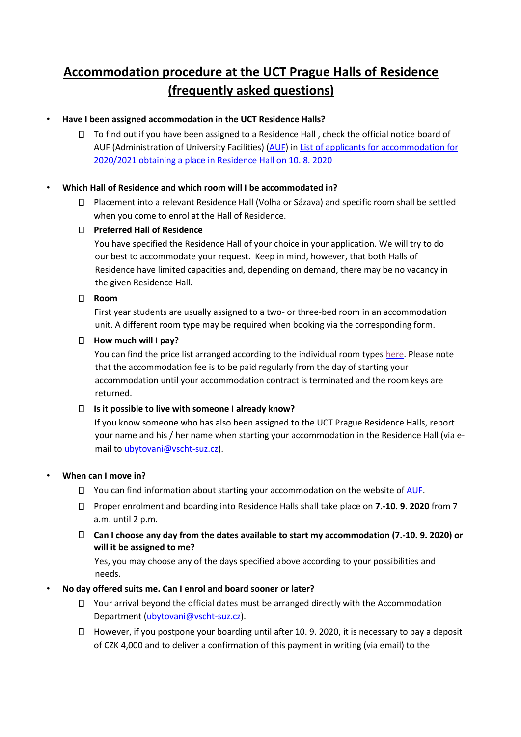# **Accommodation procedure at the UCT Prague Halls of Residence (frequently asked questions)**

## • **Have I been assigned accommodation in the UCT Residence Halls?**

To find out if you have been assigned to a Residence Hall , check the official notice board of AUF (Administration of University Facilities) [\(AUF\)](https://www.vscht-suz.cz/en/news/what-s-new/) [in](http://www.vscht-suz.cz/.../files/news/id409/Prideleno.pdf) List of applicants for accommodation for [2020/2021 obtaining a place in Residence Hall on 10.](https://www.vscht-suz.cz/content/files/news/id481/Prideleno.pdf) [8.](https://www.vscht-suz.cz/content/files/news/id481/Prideleno.pdf) [2020](https://www.vscht-suz.cz/content/files/news/id481/Prideleno.pdf)

## • **Which Hall of Residence and which room will I be accommodated in?**

Placement into a relevant Residence Hall (Volha or Sázava) and specific room shall be settled when you come to enrol at the Hall of Residence.

## **Preferred Hall of Residence**

You have specified the Residence Hall of your choice in your application. We will try to do our best to accommodate your request. Keep in mind, however, that both Halls of Residence have limited capacities and, depending on demand, there may be no vacancy in the given Residence Hall.

### **Room**

First year students are usually assigned to a two- or three-bed room in an accommodation unit. A different room type may be required when booking via the corresponding form.

### **How much will I pay?**

You can find the price list arranged according to the individual room types [here.](https://www.vscht-suz.cz/content/files/Cenik_kolejne_2020.pdf) Please note that the accommodation fee is to be paid regularly from the day of starting your accommodation until your accommodation contract is terminated and the room keys are returned.

### **Is it possible to live with someone I already know?**

If you know someone who has also been assigned to the UCT Prague Residence Halls, report your name and his / her name when starting your accommodation in the Residence Hall (via email to ubytovani@vscht-suz.cz).

### • **When can I move in?**

- $\Box$  You can find information about starting your accommodation on the website [of AUF.](http://www.vscht-suz.cz/)
- Proper enrolment and boarding into Residence Halls shall take place on **7.-10. 9. 2020** from 7 a.m. until 2 p.m.
- **Can I choose any day from the dates available to start my accommodation (7.-10. 9. 2020) or will it be assigned to me?**

Yes, you may choose any of the days specified above according to your possibilities and needs.

### • **No day offered suits me. Can I enrol and board sooner or later?**

- Your arrival beyond the official dates must be arranged directly with the Accommodation Department (ubytovani@vscht-suz.cz).
- However, if you postpone your boarding until after 10. 9. 2020, it is necessary to pay a deposit of CZK 4,000 and to deliver a confirmation of this payment in writing (via email) to the